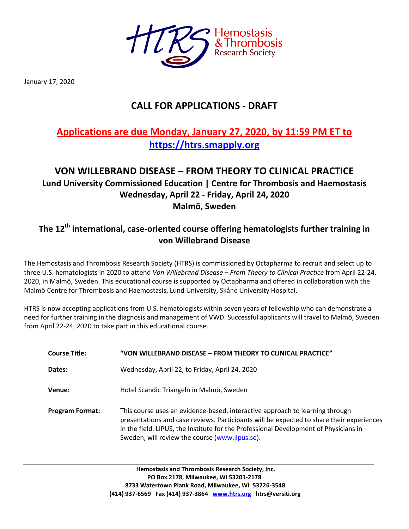

January 17, 2020

# **CALL FOR APPLICATIONS - DRAFT**

# **Applications are due Monday, January 27, 2020, by 11:59 PM ET to [https://htrs.smapply.org](https://htrs.smapply.org/)**

## **VON WILLEBRAND DISEASE – FROM THEORY TO CLINICAL PRACTICE Lund University Commissioned Education | Centre for Thrombosis and Haemostasis Wednesday, April 22 - Friday, April 24, 2020 Malmö, Sweden**

## **The 12 th international, case-oriented course offering hematologists further training in von Willebrand Disease**

The Hemostasis and Thrombosis Research Society (HTRS) is commissioned by Octapharma to recruit and select up to three U.S. hematologists in 2020 to attend *Von Willebrand Disease – From Theory to Clinical Practice* from April 22-24, 2020, in Malmö, Sweden. This educational course is supported by Octapharma and offered in collaboration with the Malmö Centre for Thrombosis and Haemostasis, Lund University, Skåne University Hospital.

HTRS is now accepting applications from U.S. hematologists within seven years of fellowship who can demonstrate a need for further training in the diagnosis and management of VWD. Successful applicants will travel to Malmö, Sweden from April 22-24, 2020 to take part in this educational course.

| <b>Course Title:</b>   | "VON WILLEBRAND DISEASE - FROM THEORY TO CLINICAL PRACTICE"                                                                                                                                                                                                                                                        |
|------------------------|--------------------------------------------------------------------------------------------------------------------------------------------------------------------------------------------------------------------------------------------------------------------------------------------------------------------|
| Dates:                 | Wednesday, April 22, to Friday, April 24, 2020                                                                                                                                                                                                                                                                     |
| Venue:                 | Hotel Scandic Triangeln in Malmö, Sweden                                                                                                                                                                                                                                                                           |
| <b>Program Format:</b> | This course uses an evidence-based, interactive approach to learning through<br>presentations and case reviews. Participants will be expected to share their experiences<br>in the field. LIPUS, the Institute for the Professional Development of Physicians in<br>Sweden, will review the course (www.lipus.se). |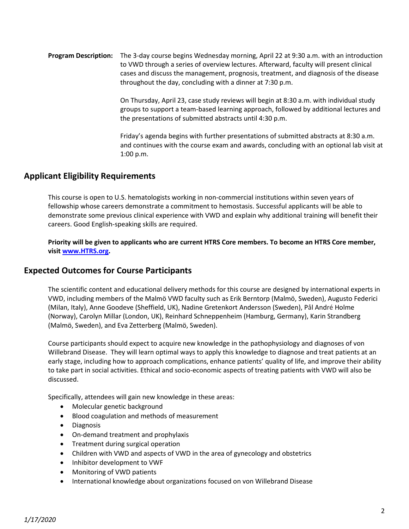#### **Program Description:** The 3-day course begins Wednesday morning, April 22 at 9:30 a.m. with an introduction to VWD through a series of overview lectures. Afterward, faculty will present clinical cases and discuss the management, prognosis, treatment, and diagnosis of the disease throughout the day, concluding with a dinner at 7:30 p.m.

On Thursday, April 23, case study reviews will begin at 8:30 a.m. with individual study groups to support a team-based learning approach, followed by additional lectures and the presentations of submitted abstracts until 4:30 p.m.

Friday's agenda begins with further presentations of submitted abstracts at 8:30 a.m. and continues with the course exam and awards, concluding with an optional lab visit at 1:00 p.m.

#### **Applicant Eligibility Requirements**

This course is open to U.S. hematologists working in non-commercial institutions within seven years of fellowship whose careers demonstrate a commitment to hemostasis. Successful applicants will be able to demonstrate some previous clinical experience with VWD and explain why additional training will benefit their careers. Good English-speaking skills are required.

**Priority will be given to applicants who are current HTRS Core members. To become an HTRS Core member, visit [www.HTRS.org.](www.HTRS.org)** 

#### **Expected Outcomes for Course Participants**

The scientific content and educational delivery methods for this course are designed by international experts in VWD, including members of the Malmö VWD faculty such as Erik Berntorp (Malmö, Sweden), Augusto Federici (Milan, Italy), Anne Goodeve (Sheffield, UK), Nadine Gretenkort Andersson (Sweden), Pål André Holme (Norway), Carolyn Millar (London, UK), Reinhard Schneppenheim (Hamburg, Germany), Karin Strandberg (Malmö, Sweden), and Eva Zetterberg (Malmö, Sweden).

Course participants should expect to acquire new knowledge in the pathophysiology and diagnoses of von Willebrand Disease. They will learn optimal ways to apply this knowledge to diagnose and treat patients at an early stage, including how to approach complications, enhance patients' quality of life, and improve their ability to take part in social activities. Ethical and socio-economic aspects of treating patients with VWD will also be discussed.

Specifically, attendees will gain new knowledge in these areas:

- Molecular genetic background
- Blood coagulation and methods of measurement
- **•** Diagnosis
- On-demand treatment and prophylaxis
- Treatment during surgical operation
- Children with VWD and aspects of VWD in the area of gynecology and obstetrics
- Inhibitor development to VWF
- Monitoring of VWD patients
- International knowledge about organizations focused on von Willebrand Disease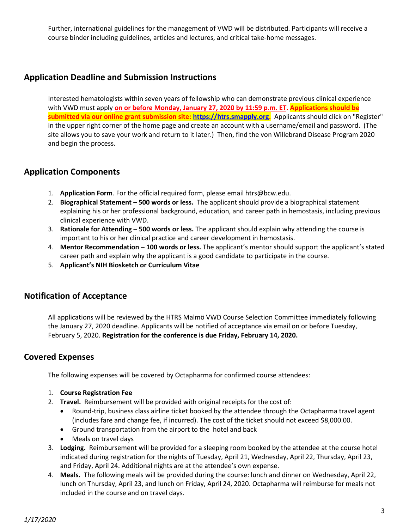Further, international guidelines for the management of VWD will be distributed. Participants will receive a course binder including guidelines, articles and lectures, and critical take-home messages.

## **Application Deadline and Submission Instructions**

Interested hematologists within seven years of fellowship who can demonstrate previous clinical experience with VWD must apply **on or before Monday, January 27, 2020 by 11:59 p.m. ET. Applications should be submitted via our online grant submission site: [https://htrs.smapply.org.](https://htrs.smapply.org/)** Applicants should click on "Register" in the upper right corner of the home page and create an account with a username/email and password. (The site allows you to save your work and return to it later.) Then, find the von Willebrand Disease Program 2020 and begin the process.

### **Application Components**

- 1. **Application Form**. For the official required form, please email htrs@bcw.edu.
- 2. **Biographical Statement – 500 words or less.** The applicant should provide a biographical statement explaining his or her professional background, education, and career path in hemostasis, including previous clinical experience with VWD.
- 3. **Rationale for Attending – 500 words or less.** The applicant should explain why attending the course is important to his or her clinical practice and career development in hemostasis.
- 4. **Mentor Recommendation – 100 words or less.** The applicant's mentor should support the applicant's stated career path and explain why the applicant is a good candidate to participate in the course.
- 5. **Applicant's NIH Biosketch or Curriculum Vitae**

### **Notification of Acceptance**

All applications will be reviewed by the HTRS Malmö VWD Course Selection Committee immediately following the January 27, 2020 deadline. Applicants will be notified of acceptance via email on or before Tuesday, February 5, 2020. **Registration for the conference is due Friday, February 14, 2020.**

### **Covered Expenses**

The following expenses will be covered by Octapharma for confirmed course attendees:

- 1. **Course Registration Fee**
- 2. **Travel.** Reimbursement will be provided with original receipts for the cost of:
	- Round-trip, business class airline ticket booked by the attendee through the Octapharma travel agent (includes fare and change fee, if incurred). The cost of the ticket should not exceed \$8,000.00.
	- Ground transportation from the airport to the hotel and back
	- Meals on travel days
- 3. **Lodging.** Reimbursement will be provided for a sleeping room booked by the attendee at the course hotel indicated during registration for the nights of Tuesday, April 21, Wednesday, April 22, Thursday, April 23, and Friday, April 24. Additional nights are at the attendee's own expense.
- 4. **Meals.** The following meals will be provided during the course: lunch and dinner on Wednesday, April 22, lunch on Thursday, April 23, and lunch on Friday, April 24, 2020. Octapharma will reimburse for meals not included in the course and on travel days.